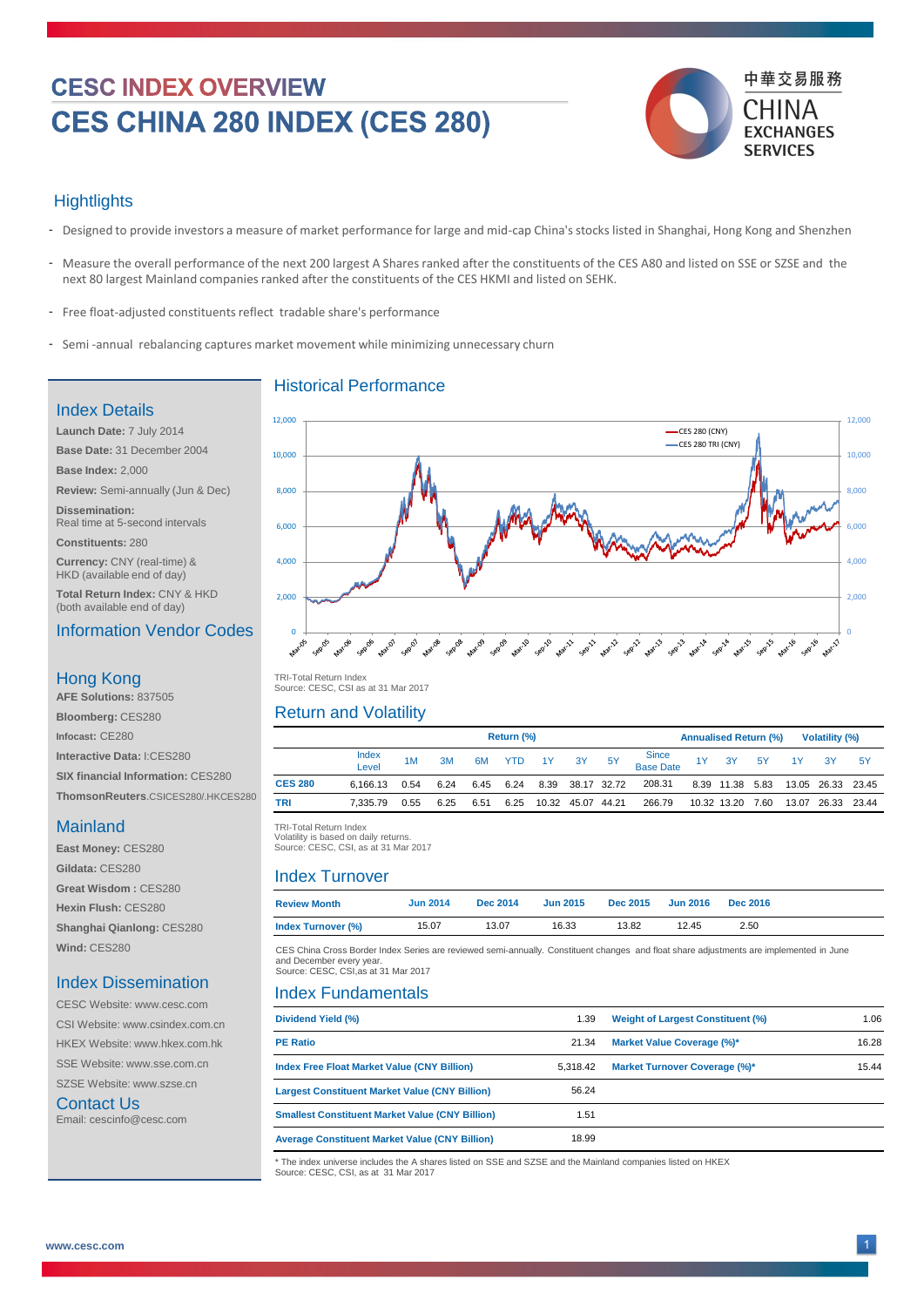# **CESC INDEX OVERVIEW** CES CHINA 280 INDEX (CES 280)



#### **Hightlights**

 TRI -Total Return Index TRI-Total Return Index Volatility is based on daily returns. Volatility is based on daily returns. Source: CESC, CSI, as at 31 Mar 2017

- Designed to provide investors a measure of market performance for large and mid-cap China's stocks listed in Shanghai, Hong Kong and Shenzhen -
- Measure the overall performance of the next 200 largest A Shares ranked after the constituents of the CES A80 and listed on SSE or SZSE and the next 80 largest Mainland companies ranked after the constituents of the CES HKMI and listed on SEHK.
- Free float-adjusted constituents reflect tradable share's performance
- Semi-annual rebalancing captures market movement while minimizing unnecessary churn

|                | <b>Return (%)</b> |      |      |      |      |    |                   |           | <b>Annualised Return (%)</b> |  |             |           | <b>Volatility (%)</b> |             |           |
|----------------|-------------------|------|------|------|------|----|-------------------|-----------|------------------------------|--|-------------|-----------|-----------------------|-------------|-----------|
|                | Index<br>Level    | 1M   | 3M   | 6M   | YTD  | 1Y | 3Y                | <b>5Y</b> | Since<br>Base Date           |  | 1Y 3Y       | <b>5Y</b> | 1Y                    | <b>3Y</b>   | <b>5Y</b> |
| <b>CES 280</b> | 6.166.13          | 0.54 | 6.24 | 6.45 | 6.24 |    | 8.39 38.17 32.72  |           | 208.31                       |  | 8.39 11.38  | 5.83      |                       | 13.05 26.33 | 23.45     |
| <b>TRI</b>     | 7.335.79          | 0.55 | 6.25 | 6.51 | 6.25 |    | 10.32 45.07 44.21 |           | 266.79                       |  | 10.32 13.20 | 7.60      | 13.07                 | 26.33       | 23.44     |

| <b>Review Month</b>       | <b>Jun 2014</b> | <b>Dec 2014</b> | <b>Jun 2015</b> | <b>Dec 2015</b> | <b>Jun 2016 Dec 2016</b> |      |
|---------------------------|-----------------|-----------------|-----------------|-----------------|--------------------------|------|
| <b>Index Turnover (%)</b> | 15.07           | 13.07           | 16.33           | 13.82           | 12.45                    | 2.50 |

CESC Website: www.cesc.com SSE Website: www.sse.com.cn  TRI -Total Return Index TRI-Total Return Index Source: CESC, CSI as at 31 Mar 2017

## Historical Performance

## Return and Volatility

#### Index Turnover

#### Index Fundamentals



#### Index Details

| <b>ULUU VYEUSILE. WWW.UESU.UUIII</b>          |                                                                                                                                                     |          |                                          |       |  |  |  |  |
|-----------------------------------------------|-----------------------------------------------------------------------------------------------------------------------------------------------------|----------|------------------------------------------|-------|--|--|--|--|
| CSI Website: www.csindex.com.cn               | <b>Dividend Yield (%)</b>                                                                                                                           | .39      | <b>Weight of Largest Constituent (%)</b> | 1.06  |  |  |  |  |
| <b>HKEX Website: www.hkex.com.hk</b>          | <b>PE Ratio</b>                                                                                                                                     | 21.34    | <b>Market Value Coverage (%)*</b>        | 16.28 |  |  |  |  |
| <b>SSE Website: www.sse.com.cn</b>            | <b>Index Free Float Market Value (CNY Billion)</b>                                                                                                  | 5,318.42 | <b>Market Turnover Coverage (%)*</b>     | 15.44 |  |  |  |  |
| SZSE Website: www.szse.cn                     | <b>Largest Constituent Market Value (CNY Billion)</b>                                                                                               | 56.24    |                                          |       |  |  |  |  |
| <b>Contact Us</b><br>Email: cescinfo@cesc.com | <b>Smallest Constituent Market Value (CNY Billion)</b>                                                                                              | l.51     |                                          |       |  |  |  |  |
|                                               | <b>Average Constituent Market Value (CNY Billion)</b>                                                                                               | 18.99    |                                          |       |  |  |  |  |
|                                               | * The index universe includes the A shares listed on SSE and SZSE and the Mainland companies listed on HKEX<br>Source: CESC, CSI, as at 31 Mar 2017 |          |                                          |       |  |  |  |  |

**Launch Date:** 7 July 2014 **Base Date:** 31 December 2004 **Base Index:** 2,000 **Review:** Semi-annually (Jun & Dec) **Dissemination:** 

Real time at 5-second intervals

**Constituents:** 280

**Currency:** CNY (real-time) & HKD (available end of day)

**Total Return Index:** CNY & HKD (both available end of day)

#### Information Vendor Codes

**AFE Solutions:** 837505

**Bloomberg:** CES280

**Infocast:** CE280

**Interactive Data:** I:CES280

**SIX financial Information: CES280** 

**ThomsonReuters**.CSICES280/.HKCES280

## **Mainland**

#### Hong Kong

**East Money:** CES280 **Gildata:** CES280

**Great Wisdom :** CES280

**Hexin Flush:** CES280

**Shanghai Qianlong:** CES280

**Wind:** CES280

#### Index Dissemination

CES China Cross Border Index Series are reviewed semi-annually. Constituent changes and float share adjustments are implemented in June and December every year. Source: CESC, CSI,as at 31 Mar 2017